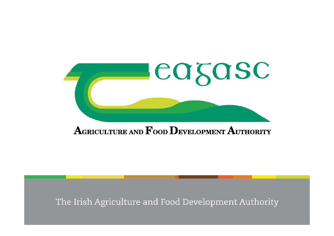

### $\mathbf A$ GRICULTURE AND  $\mathbf F$ OOD  $\mathbf D$ EVELOPMENT  $\mathbf A$ UTHORITY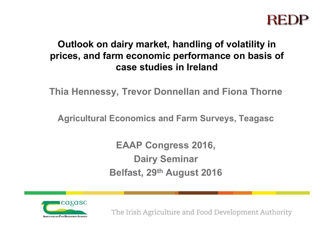### **Outlook on dairy market, handling of volatility in prices, and farm economic performance on basis of case studies in Ireland**

**Thia Hennessy, Trevor Donnellan and Fiona Thorne**

**Agricultural Economics and Farm Surveys, Teagasc**

**EAAP Congress 2016, Dairy Seminar Belfast, 29th August 2016**

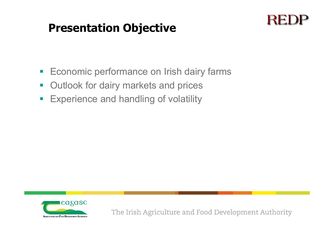### **Presentation Objective**

### REI

- $\mathcal{L}_{\mathcal{A}}$ Economic performance on Irish dairy farms
- $\mathcal{L}_{\mathcal{A}}$ Outlook for dairy markets and prices
- $\overline{\mathcal{A}}$ Experience and handling of volatility

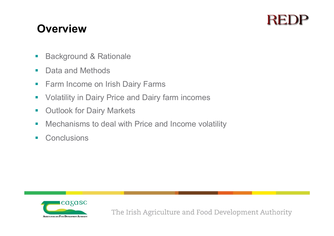### REL

### **Overview**

- $\mathcal{L}_{\mathcal{A}}$ Background & Rationale
- $\mathcal{L}^{\mathcal{A}}$ Data and Methods
- $\mathcal{L}_{\mathcal{A}}$ Farm Income on Irish Dairy Farms
- $\mathcal{L}_{\mathcal{A}}$ Volatility in Dairy Price and Dairy farm incomes
- $\mathcal{L}_{\mathcal{A}}$ Outlook for Dairy Markets
- $\sim$ Mechanisms to deal with Price and Income volatility
- $\sim$ **Conclusions**

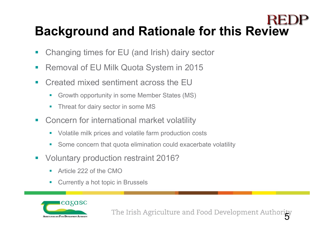# **Background and Rationale for this Review**

- Changing times for EU (and Irish) dairy sector
- er<br>19 Removal of EU Milk Quota System in 2015
- $\mathbf{r}$  Created mixed sentiment across the EU
	- Growth opportunity in some Member States (MS)
	- Г Threat for dairy sector in some MS
- $\mathcal{L}_{\mathcal{A}}$  Concern for international market volatility
	- Volatile milk prices and volatile farm production costs
	- П Some concern that quota elimination could exacerbate volatility
- er<br>1 Voluntary production restraint 2016?
	- П Article 222 of the CMO
	- П Currently a hot topic in Brussels

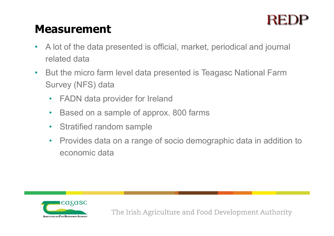### REI

### **Measurement**

- • A lot of the data presented is official, market, periodical and journal related data
- $\bullet$  But the micro farm level data presented is Teagasc National Farm Survey (NFS) data
	- $\bullet$ FADN data provider for Ireland
	- •Based on a sample of approx. 800 farms
	- Stratified random sample
	- $\bullet$  Provides data on a range of socio demographic data in addition to economic data

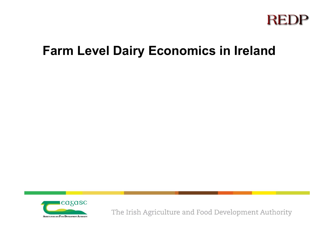

### **Farm Level Dairy Economics in Ireland**

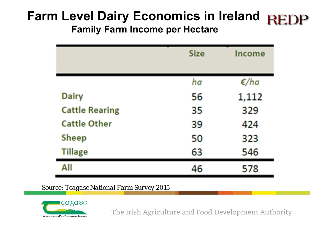### **Farm Level Dairy Economics in Ireland Family Farm Income per Hectare**

|                       | <b>Size</b> | <b>Income</b>    |
|-----------------------|-------------|------------------|
|                       | ha          | $\varepsilon/ha$ |
| <b>Dairy</b>          | 56          | 1,112            |
| <b>Cattle Rearing</b> | 35          | 329              |
| <b>Cattle Other</b>   | 39          | 424              |
| <b>Sheep</b>          | 50          | 323              |
| <b>Tillage</b>        | 63          | 546              |
| All                   | 46          | 578              |

*Source: Teagasc National Farm Survey 2015*

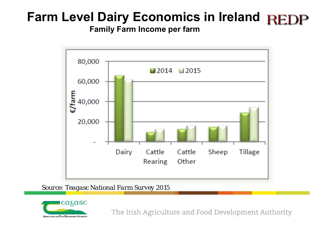# **Farm Level Dairy Economics in Ireland**

**Family Farm Income per farm**



*Source: Teagasc National Farm Survey 2015*

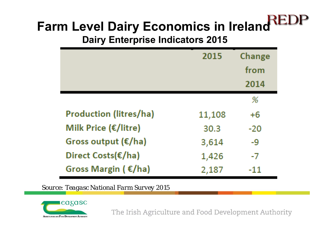# **Farm Level Dairy Economics in Ireland**

**Dairy Enterprise Indicators 2015**

|                                | 2015   | Change |
|--------------------------------|--------|--------|
|                                |        | from   |
|                                |        | 2014   |
|                                |        | %      |
| <b>Production (litres/ha)</b>  | 11,108 | $+6$   |
| Milk Price (€/litre)           | 30.3   | $-20$  |
| Gross output $(\epsilon/ha)$   | 3,614  | -9     |
| Direct Costs(€/ha)             | 1,426  | -7     |
| Gross Margin ( $\epsilon$ /ha) | 2,187  |        |

*Source: Teagasc National Farm Survey 2015*

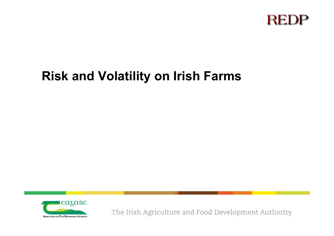

### **Risk and Volatility on Irish Farms**

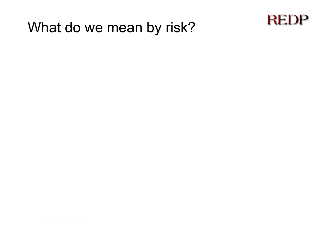# What do we mean by risk?

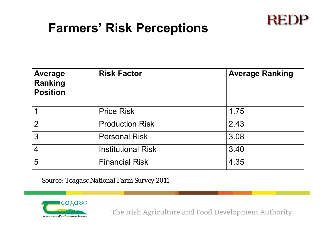### **Farmers' Risk Perceptions**

| <b>Average</b><br>Ranking<br><b>Position</b> | <b>Risk Factor</b>        | <b>Average Ranking</b> |
|----------------------------------------------|---------------------------|------------------------|
|                                              | <b>Price Risk</b>         | 1.75                   |
| $\overline{2}$                               | <b>Production Risk</b>    | 2.43                   |
| 3                                            | <b>Personal Risk</b>      | 3.08                   |
| $\overline{4}$                               | <b>Institutional Risk</b> | 3.40                   |
| 5                                            | <b>Financial Risk</b>     | 4.35                   |

*Source: Teagasc National Farm Survey 2011*



The Irish Agriculture and Food Development Authority

**REDP**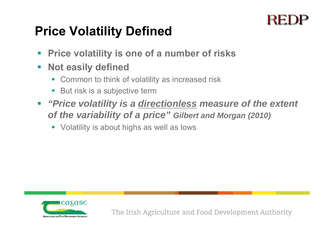### **Price Volatility Defined**

- $\mathcal{L}_{\mathcal{A}}$ **Price volatility is one of a number of risks**
- $\mathcal{C}^{\mathcal{A}}$  **Not easily defined**
	- **EX Common to think of volatility as increased risk**
	- $\overline{\phantom{a}}$ But risk is a subjective term
- $\mathbb{R}^n$  *"Price volatility is a directionless measure of the extent of the variability of a price" Gilbert and Morgan (2010)*
	- **•** Volatility is about highs as well as lows

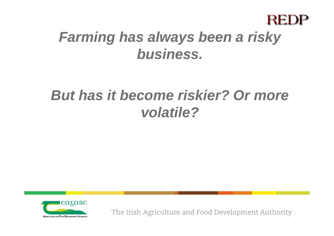

# *Farming has always been a risky business.*

# *But has it become riskier? Or more volatile?*

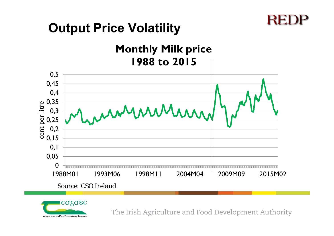### **Output Price Volatility**

**Monthly Milk price 1988 to 2015**





The Irish Agriculture and Food Development Authority

REI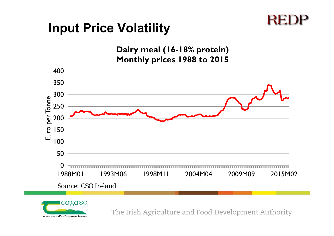### **REDP**

### **Input Price Volatility**



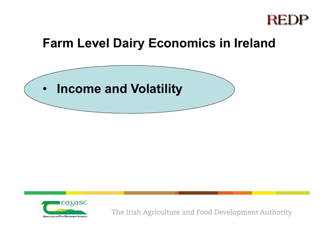

### **Farm Level Dairy Economics in Ireland**



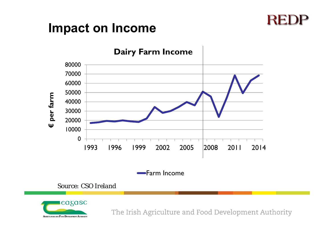### **REDP**

### **Impact on Income**



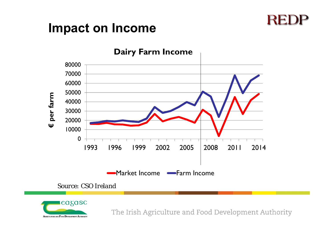### **REDP**

### **Impact on Income**



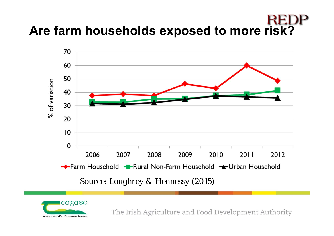# **Are farm households exposed to more risk?**



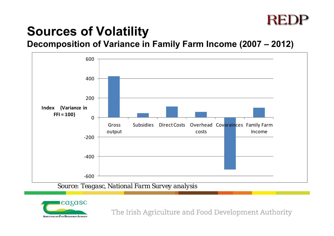### REI

### **Sources of Volatility**

**Decomposition of Variance in Family Farm Income (2007 – 2012)** 



*Source: Teagasc, National Farm Survey analysis*

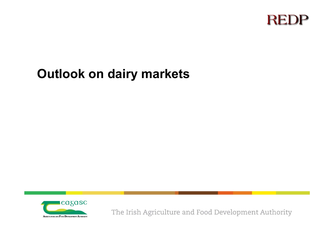

### **Outlook on dairy markets**

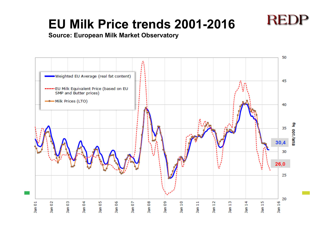### **EU Milk Price trends 2001-2016**





**REDP**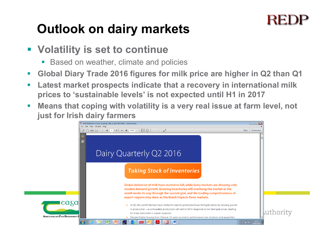## **Outlook on dairy markets**

- **Volatility is set to continue**
	- $\mathcal{L}_{\mathcal{A}}$ Based on weather, climate and policies
- $\mathcal{L}_{\mathcal{A}}$ **Global Diary Trade 2016 figures for milk price are higher in Q2 than Q1**
- $\overline{\phantom{a}}$  **Latest market prospects indicate that a recovery in international milk prices to 'sustainable levels' is not expected until H1 in 2017**
- $\mathbb{R}^3$  **Means that coping with volatility is a very real issue at farm level, not just for Irish dairy farmers**

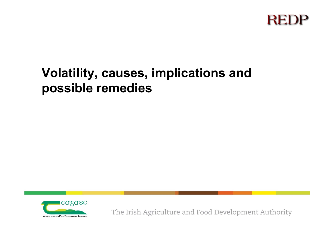

### **Volatility, causes, implications and possible remedies**

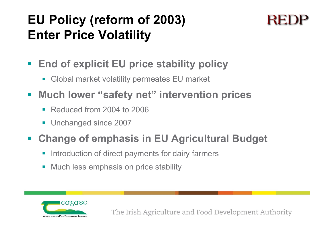## **EU Policy (reform of 2003) Enter Price Volatility**

- $\mathcal{L}_{\mathcal{A}}$  **End of explicit EU price stability policy**
	- **Global market volatility permeates EU market**
- $\mathcal{L}_{\mathcal{A}}$  **Much lower "safety net" intervention prices**
	- Reduced from 2004 to 2006
	- **Unchanged since 2007**

### $\mathcal{L}_{\mathcal{A}}$ **Change of emphasis in EU Agricultural Budget**

- $\blacksquare$ Introduction of direct payments for dairy farmers
- $\overline{\phantom{a}}$ Much less emphasis on price stability

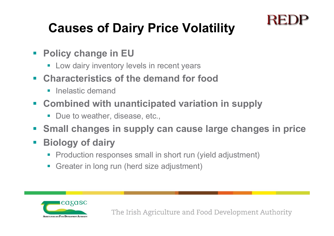# **Causes of Dairy Price Volatility**

- $\mathcal{L}_{\mathcal{A}}$  **Policy change in EU**
	- **EXTE:** Low dairy inventory levels in recent years
- $\mathcal{L}_{\mathcal{A}}$  **Characteristics of the demand for food** 
	- er<br>1 Inelastic demand
- **Combined with unanticipated variation in supply** 
	- Due to weather, disease, etc.,
- $\mathbf{L}$ **Small changes in supply can cause large changes in price**
- $\mathcal{L}^{\mathcal{L}}$  **Biology of dairy**
	- **Production responses small in short run (yield adjustment)**
	- **Greater in long run (herd size adjustment)**



REI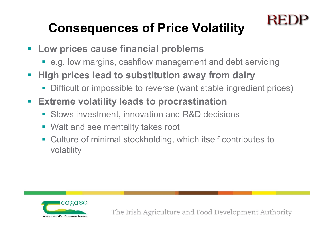# **Consequences of Price Volatility**

- **Low prices cause financial problems**
	- e.g. low margins, cashflow management and debt servicing
- $\Box$  **High prices lead to substitution away from dairy**
	- $\overline{\phantom{a}}$ Difficult or impossible to reverse (want stable ingredient prices)
- $\overline{\phantom{a}}$  **Extreme volatility leads to procrastination**
	- **Slows investment, innovation and R&D decisions**
	- **Wait and see mentality takes root**
	- $\mathcal{L}_{\mathcal{A}}$  Culture of minimal stockholding, which itself contributes to volatility



The Irish Agriculture and Food Development Authority

REI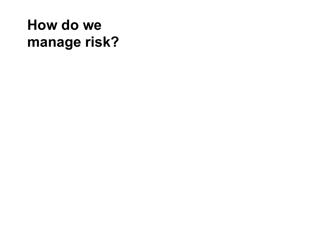# **How do we manage risk?**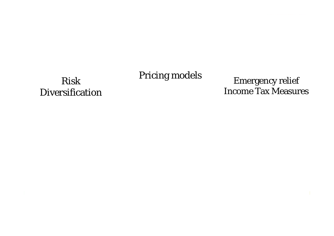### Pricing models

### Risk Diversification

Emergency relief Income Tax Measures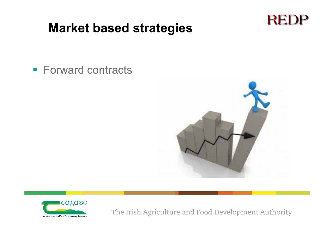### **Market based strategies**



**Forward contracts** 



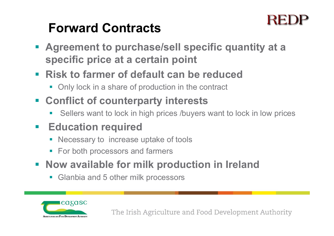### **Forward Contracts**

- **Agreement to purchase/sell specific quantity at a specific price at a certain point**
- **Risk to farmer of default can be reduced**
	- **-** Only lock in a share of production in the contract
- **Conflict of counterparty interests**
	- Sellers want to lock in high prices /buyers want to lock in low prices

### $\mathcal{L}_{\mathcal{A}}$ **Education required**

- **Necessary to increase uptake of tools**
- **For both processors and farmers**
- **Now available for milk production in Ireland** 
	- **Glanbia and 5 other milk processors**

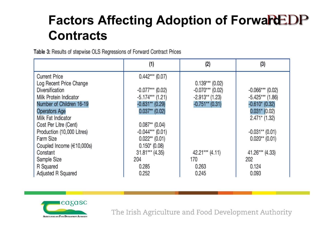### **Factors Affecting Adoption of Forward DP Contracts**

Table 3: Results of stepwise OLS Regressions of Forward Contract Prices

|                                | (1)                | (2)                 | (3)                |
|--------------------------------|--------------------|---------------------|--------------------|
| <b>Current Price</b>           | $0.442***$ (0.07)  |                     |                    |
| Log Recent Price Change        |                    | $0.139***$ (0.02)   |                    |
| Diversification                | $-0.077***$ (0.02) | $-0.070***$ (0.02)  | $-0.066***$ (0.02) |
| Milk Protein Indicator         | $-5.174***$ (1.21) | $-2.913**$ (1.23)   | $-5.425***$ (1.86) |
| Number of Children 16-19       | $-0.631**$ (0.29)  | $-0.751**$ (0.31)   | $-0.610*(0.32)$    |
| <b>Operators Age</b>           | $0.037**$ (0.02)   |                     | $0.031*$ (0.02)    |
| Milk Fat Indicator             |                    |                     | $2.471*$ (1.32)    |
| Cost Per Litre (Cent)          | $0.087**$ (0.04)   |                     |                    |
| Production (10,000 Litres)     | $-0.044***$ (0.01) |                     | $-0.031**$ (0.01)  |
| Farm Size                      | $0.022**$ (0.01)   |                     | $0.020**$ (0.01)   |
| Coupled Income $(\in 10,000s)$ | $0.150*(0.08)$     |                     |                    |
| Constant                       | $31.81***$ (4.35)  | $42.21***$ $(4.11)$ | 41.26*** (4.33)    |
| Sample Size                    | 204                | 170                 | 202                |
| R Squared                      | 0.285              | 0.263               | 0.124              |
| Adjusted R Squared             | 0.252              | 0.245               | 0.093              |

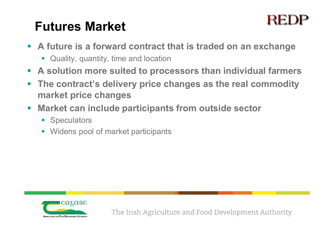### **Futures Market**



- **A future is a forward contract that is traded on an exchange**
	- **Quality, quantity, time and location**
- **A solution more suited to processors than individual farmers**
- $\left\vert \cdot \right\rangle$  **The contract's delivery price changes as the real commodity market price changes**
- $\mathcal{L}_{\mathcal{A}}$  **Market can include participants from outside sector**
	- **Speculators**
	- **Widens pool of market participants**

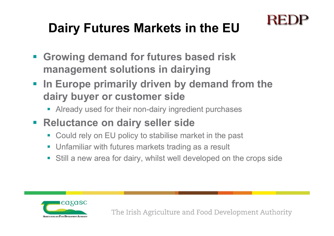# **Dairy Futures Markets in the EU**

- **Growing demand for futures based risk management solutions in dairying**
- **In Europe primarily driven by demand from the dairy buyer or customer side** 
	- **Already used for their non-dairy ingredient purchases**
- **Reluctance on dairy seller side**
	- Could rely on EU policy to stabilise market in the past
	- **Unfamiliar with futures markets trading as a result**
	- Still a new area for dairy, whilst well developed on the crops side



The Irish Agriculture and Food Development Authority

RE.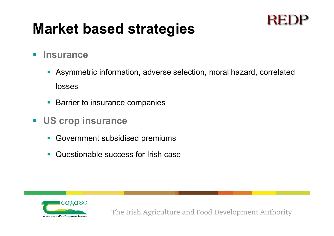# **Market based strategies**



- Asymmetric information, adverse selection, moral hazard, correlated losses
- **Barrier to insurance companies**
- **US crop insurance** 
	- **Government subsidised premiums**
	- er<br>1 Questionable success for Irish case



The Irish Agriculture and Food Development Authority

RE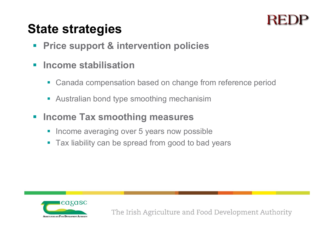### **State strategies**

- $\mathcal{L}_{\mathcal{A}}$ **Price support & intervention policies**
- $\mathcal{L}$  **Income stabilisation**
	- $\blacksquare$ Canada compensation based on change from reference period
	- **Australian bond type smoothing mechanisim**
- $\mathcal{L}_{\mathcal{A}}$  **Income Tax smoothing measures**
	- Income averaging over 5 years now possible
	- **Tax liability can be spread from good to bad years**

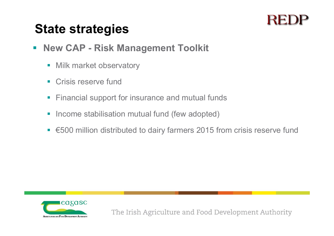### **State strategies**

- $\blacksquare$  **New CAP - Risk Management Toolkit**
	- **Nilk market observatory**
	- $\mathbf{L}$ Crisis reserve fund
	- $\Box$ Financial support for insurance and mutual funds
	- $\mathcal{L}_{\mathcal{A}}$ Income stabilisation mutual fund (few adopted)
	- €500 million distributed to dairy farmers 2015 from crisis reserve fund

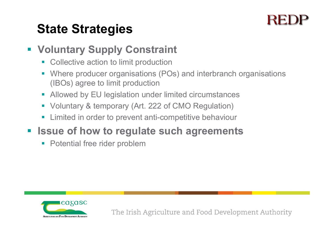### **State Strategies**

### **Voluntary Supply Constraint**

- **EX Collective action to limit production**
- $\blacksquare$  Where producer organisations (POs) and interbranch organisations (IBOs) agree to limit production
- $\mathbb{R}^n$ Allowed by EU legislation under limited circumstances
- Voluntary & temporary (Art. 222 of CMO Regulation)
- $\overline{\mathbb{R}^2}$ Limited in order to prevent anti-competitive behaviour
- **Example 1 Seque of how to regulate such agreements** 
	- e<br>V Potential free rider problem

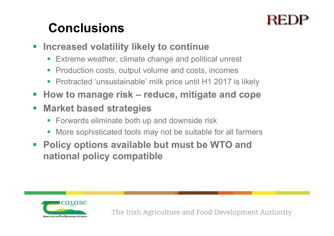## **Conclusions**

- $\mathcal{L}_{\mathcal{A}}$  **Increased volatility likely to continue**
	- Extreme weather, climate change and political unrest
	- $\mathcal{L}^{\mathcal{A}}$ Production costs, output volume and costs, incomes
	- e<br>V Protracted 'unsustainable' milk price until H1 2017 is likely
- $\mathbb{R}^n$ **How to manage risk – reduce, mitigate and cope**
- $\mathbb{R}^2$  **Market based strategies** 
	- **Forwards eliminate both up and downside risk**
	- $\blacksquare$ More sophisticated tools may not be suitable for all farmers
- $\mathcal{L}_{\mathcal{A}}$  **Policy options available but must be WTO and national policy compatible**